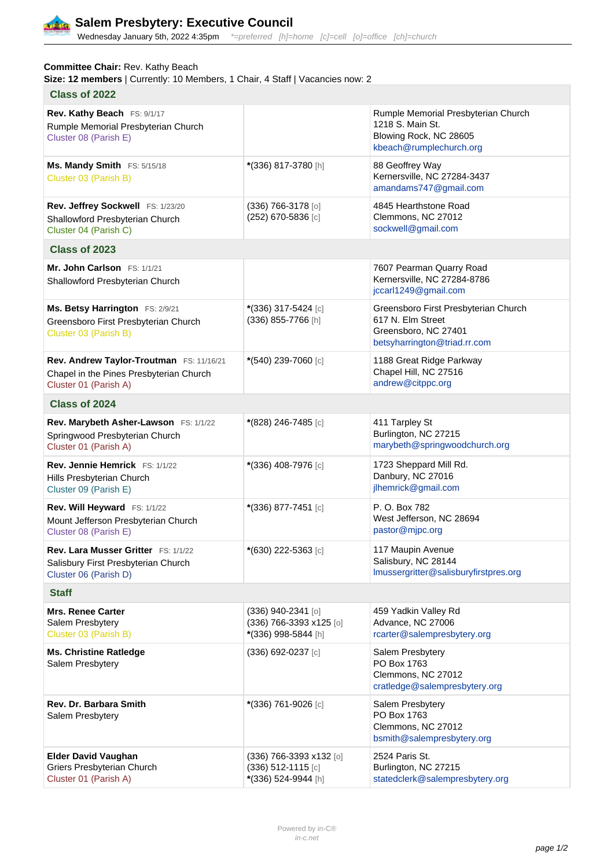

## Wednesday January 5th, 2022 4:35pm \*= preferred [h]=home [c]=cell [o]=office [ch]=church

## **Committee Chair:** Rev. Kathy Beach

Size: 12 members | Currently: 10 Members, 1 Chair, 4 Staff | Vacancies now: 2

| <b>Class of 2022</b>                                                                                         |                                                                        |                                                                                                                   |
|--------------------------------------------------------------------------------------------------------------|------------------------------------------------------------------------|-------------------------------------------------------------------------------------------------------------------|
| Rev. Kathy Beach FS: 9/1/17<br>Rumple Memorial Presbyterian Church<br>Cluster 08 (Parish E)                  |                                                                        | Rumple Memorial Presbyterian Church<br>1218 S. Main St.<br>Blowing Rock, NC 28605<br>kbeach@rumplechurch.org      |
| Ms. Mandy Smith FS: 5/15/18<br>Cluster 03 (Parish B)                                                         | *(336) 817-3780 [h]                                                    | 88 Geoffrey Way<br>Kernersville, NC 27284-3437<br>amandams747@gmail.com                                           |
| Rev. Jeffrey Sockwell FS: 1/23/20<br>Shallowford Presbyterian Church<br>Cluster 04 (Parish C)                | (336) 766-3178 [0]<br>(252) 670-5836 [c]                               | 4845 Hearthstone Road<br>Clemmons, NC 27012<br>sockwell@gmail.com                                                 |
| Class of 2023                                                                                                |                                                                        |                                                                                                                   |
| Mr. John Carlson FS: 1/1/21<br>Shallowford Presbyterian Church                                               |                                                                        | 7607 Pearman Quarry Road<br>Kernersville, NC 27284-8786<br>jccarl1249@gmail.com                                   |
| Ms. Betsy Harrington FS: 2/9/21<br>Greensboro First Presbyterian Church<br>Cluster 03 (Parish B)             | *(336) 317-5424 [c]<br>(336) 855-7766 [h]                              | Greensboro First Presbyterian Church<br>617 N. Elm Street<br>Greensboro, NC 27401<br>betsyharrington@triad.rr.com |
| Rev. Andrew Taylor-Troutman FS: 11/16/21<br>Chapel in the Pines Presbyterian Church<br>Cluster 01 (Parish A) | *(540) 239-7060 [c]                                                    | 1188 Great Ridge Parkway<br>Chapel Hill, NC 27516<br>andrew@citppc.org                                            |
| Class of 2024                                                                                                |                                                                        |                                                                                                                   |
| Rev. Marybeth Asher-Lawson FS: 1/1/22<br>Springwood Presbyterian Church<br>Cluster 01 (Parish A)             | *(828) 246-7485 [c]                                                    | 411 Tarpley St<br>Burlington, NC 27215<br>marybeth@springwoodchurch.org                                           |
| Rev. Jennie Hemrick FS: 1/1/22<br>Hills Presbyterian Church<br>Cluster 09 (Parish E)                         | *(336) 408-7976 [c]                                                    | 1723 Sheppard Mill Rd.<br>Danbury, NC 27016<br>jlhemrick@gmail.com                                                |
| Rev. Will Heyward FS: 1/1/22<br>Mount Jefferson Presbyterian Church<br>Cluster 08 (Parish E)                 | *(336) 877-7451 [c]                                                    | P. O. Box 782<br>West Jefferson, NC 28694<br>pastor@mjpc.org                                                      |
| Rev. Lara Musser Gritter FS: 1/1/22<br>Salisbury First Presbyterian Church<br>Cluster 06 (Parish D)          | *(630) 222-5363 [c]                                                    | 117 Maupin Avenue<br>Salisbury, NC 28144<br>Imussergritter@salisburyfirstpres.org                                 |
| <b>Staff</b>                                                                                                 |                                                                        |                                                                                                                   |
| <b>Mrs. Renee Carter</b><br>Salem Presbytery<br>Cluster 03 (Parish B)                                        | (336) 940-2341 [0]<br>(336) 766-3393 x125 [0]<br>*(336) 998-5844 [h]   | 459 Yadkin Valley Rd<br>Advance, NC 27006<br>rcarter@salempresbytery.org                                          |
| <b>Ms. Christine Ratledge</b><br>Salem Presbytery                                                            | (336) 692-0237 [c]                                                     | Salem Presbytery<br>PO Box 1763<br>Clemmons, NC 27012<br>cratledge@salempresbytery.org                            |
| Rev. Dr. Barbara Smith<br>Salem Presbytery                                                                   | *(336) 761-9026 [c]                                                    | Salem Presbytery<br>PO Box 1763<br>Clemmons, NC 27012<br>bsmith@salempresbytery.org                               |
| <b>Elder David Vaughan</b><br>Griers Presbyterian Church<br>Cluster 01 (Parish A)                            | (336) 766-3393 x132 [o]<br>$(336)$ 512-1115 [c]<br>*(336) 524-9944 [h] | 2524 Paris St.<br>Burlington, NC 27215<br>statedclerk@salempresbytery.org                                         |